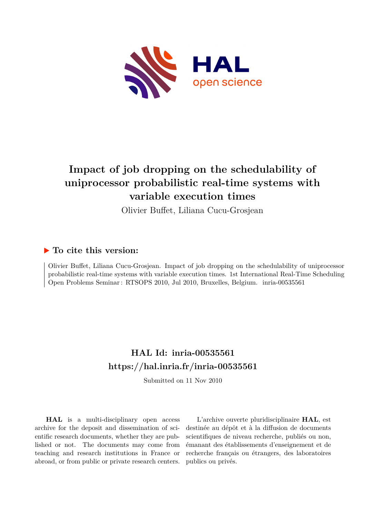

# **Impact of job dropping on the schedulability of uniprocessor probabilistic real-time systems with variable execution times**

Olivier Buffet, Liliana Cucu-Grosjean

## **To cite this version:**

Olivier Buffet, Liliana Cucu-Grosjean. Impact of job dropping on the schedulability of uniprocessor probabilistic real-time systems with variable execution times. 1st International Real-Time Scheduling Open Problems Seminar: RTSOPS 2010, Jul 2010, Bruxelles, Belgium. inria-00535561

## **HAL Id: inria-00535561 <https://hal.inria.fr/inria-00535561>**

Submitted on 11 Nov 2010

**HAL** is a multi-disciplinary open access archive for the deposit and dissemination of scientific research documents, whether they are published or not. The documents may come from teaching and research institutions in France or abroad, or from public or private research centers.

L'archive ouverte pluridisciplinaire **HAL**, est destinée au dépôt et à la diffusion de documents scientifiques de niveau recherche, publiés ou non, émanant des établissements d'enseignement et de recherche français ou étrangers, des laboratoires publics ou privés.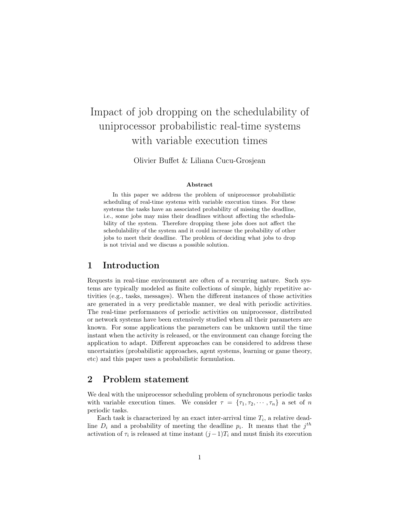# Impact of job dropping on the schedulability of uniprocessor probabilistic real-time systems with variable execution times

Olivier Buffet & Liliana Cucu-Grosjean

#### Abstract

In this paper we address the problem of uniprocessor probabilistic scheduling of real-time systems with variable execution times. For these systems the tasks have an associated probability of missing the deadline, i.e., some jobs may miss their deadlines without affecting the schedulability of the system. Therefore dropping these jobs does not affect the schedulability of the system and it could increase the probability of other jobs to meet their deadline. The problem of deciding what jobs to drop is not trivial and we discuss a possible solution.

## 1 Introduction

Requests in real-time environment are often of a recurring nature. Such systems are typically modeled as finite collections of simple, highly repetitive activities (e.g., tasks, messages). When the different instances of those activities are generated in a very predictable manner, we deal with periodic activities. The real-time performances of periodic activities on uniprocessor, distributed or network systems have been extensively studied when all their parameters are known. For some applications the parameters can be unknown until the time instant when the activity is released, or the environment can change forcing the application to adapt. Different approaches can be considered to address these uncertainties (probabilistic approaches, agent systems, learning or game theory, etc) and this paper uses a probabilistic formulation.

### 2 Problem statement

We deal with the uniprocessor scheduling problem of synchronous periodic tasks with variable execution times. We consider  $\tau = {\tau_1, \tau_2, \cdots, \tau_n}$  a set of n periodic tasks.

Each task is characterized by an exact inter-arrival time  $T_i$ , a relative deadline  $D_i$  and a probability of meeting the deadline  $p_i$ . It means that the  $j^{th}$ activation of  $\tau_i$  is released at time instant  $(j-1)T_i$  and must finish its execution